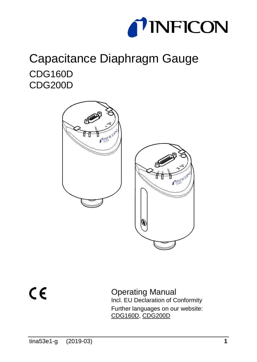

# Capacitance Diaphragm Gauge CDG160D CDG200D



<span id="page-0-0"></span> $C \in$ 

Operating Manual Incl[. EU Declaration of Conformity](#page-41-0) Further languages on our website: [CDG160D,](https://products.inficon.com/en-us/nav-products/product/detail/cdg160d/) [CDG200D](https://products.inficon.com/en-us/nav-products/product/detail/cdg200d/)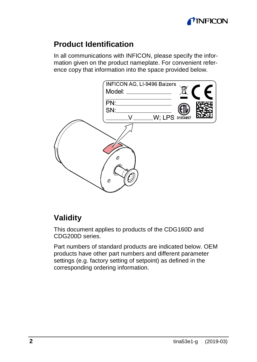

#### **Product Identification**

In all communications with INFICON, please specify the information given on the product nameplate. For convenient reference copy that information into the space provided below.



### <span id="page-1-0"></span>**Validity**

This document applies to products of the CDG160D and CDG200D series.

Part numbers of standard products are indicated below. OEM products have other part numbers and different parameter settings (e.g. factory setting of setpoint) as defined in the corresponding ordering information.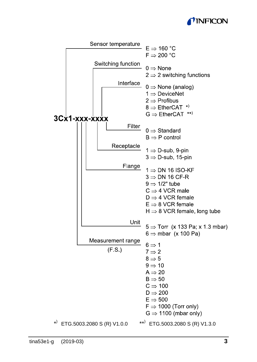## *TINFICON*

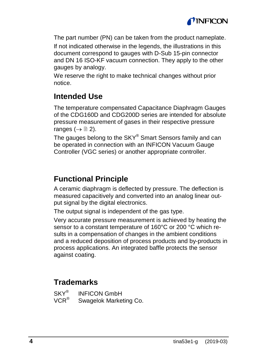

The part number (PN) can be taken from the product nameplate.

If not indicated otherwise in the legends, the illustrations in this document correspond to gauges with D-Sub 15-pin connector and DN 16 ISO-KF vacuum connection. They apply to the other gauges by analogy.

We reserve the right to make technical changes without prior notice.

#### **Intended Use**

The temperature compensated Capacitance Diaphragm Gauges of the CDG160D and CDG200D series are intended for absolute pressure measurement of gases in their respective pressure ranges ( $\rightarrow \equiv 2$ ).

The gauges belong to the SKY® Smart Sensors family and can be operated in connection with an INFICON Vacuum Gauge Controller (VGC series) or another appropriate controller.

#### **Functional Principle**

A ceramic diaphragm is deflected by pressure. The deflection is measured capacitively and converted into an analog linear output signal by the digital electronics.

The output signal is independent of the gas type.

Very accurate pressure measurement is achieved by heating the sensor to a constant temperature of 160°C or 200 °C which results in a compensation of changes in the ambient conditions and a reduced deposition of process products and by-products in process applications. An integrated baffle protects the sensor against coating.

#### **Trademarks**

 $SKY^{\otimes}$  INFICON GmbH<br>VCR<sup>®</sup> Swagelok Marke Swagelok Marketing Co.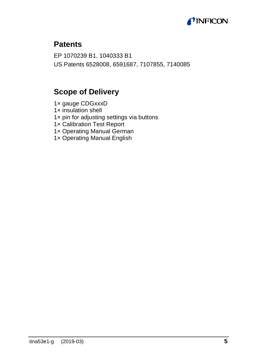

#### **Patents**

EP 1070239 B1, 1040333 B1 US Patents 6528008, 6591687, 7107855, 7140085

#### **Scope of Delivery**

1× gauge CDGxxxD 1× insulation shell 1× pin for adjusting settings via buttons 1× Calibration Test Report 1× Operating Manual German 1× Operating Manual English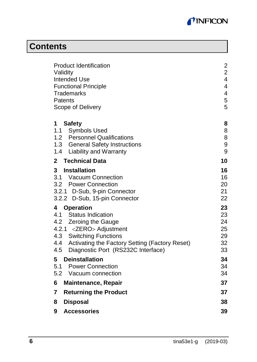

# **Contents**

| Product Identification<br>Validity<br>Intended Use<br><b>Functional Principle</b><br>Trademarks<br>Patents<br>Scope of Delivery     |                            |  |
|-------------------------------------------------------------------------------------------------------------------------------------|----------------------------|--|
| <b>Safety</b><br>1<br>1.1<br><b>Symbols Used</b>                                                                                    | 8<br>8                     |  |
| 1.2 Personnel Qualifications<br>1.3 General Safety Instructions                                                                     | 8<br>9                     |  |
| 1.4 Liability and Warranty                                                                                                          | 9                          |  |
| <b>Technical Data</b><br>$\overline{2}$                                                                                             | 10                         |  |
| 3<br>Installation<br>3.1 Vacuum Connection<br>3.2 Power Connection<br>3.2.1 D-Sub, 9-pin Connector<br>3.2.2 D-Sub, 15-pin Connector | 16<br>16<br>20<br>21<br>22 |  |
| Operation<br>4<br>Status Indication<br>41                                                                                           | 23<br>23                   |  |
| 4.2 Zeroing the Gauge                                                                                                               | 24                         |  |
| 4.2.1 <zero> Adjustment<br/>4.3 Switching Functions</zero>                                                                          | 25<br>29                   |  |
| 4.4 Activating the Factory Setting (Factory Reset)                                                                                  | 32                         |  |
| 4.5<br>Diagnostic Port (RS232C Interface)                                                                                           | 33                         |  |
| 5<br><b>Deinstallation</b>                                                                                                          | 34                         |  |
| 5.1 Power Connection<br>5.2 Vacuum connection                                                                                       | 34<br>34                   |  |
| 6                                                                                                                                   | 37                         |  |
| <b>Maintenance, Repair</b>                                                                                                          |                            |  |
| 7<br><b>Returning the Product</b>                                                                                                   | 37                         |  |
| 8<br><b>Disposal</b>                                                                                                                | 38                         |  |
| 9<br><b>Accessories</b>                                                                                                             | 39                         |  |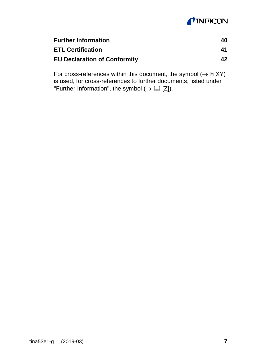## **TINFICON**

| <b>Further Information</b>          | 40 |
|-------------------------------------|----|
| <b>ETL Certification</b>            | 41 |
| <b>EU Declaration of Conformity</b> | 42 |

For cross-references within this document, the symbol  $(\rightarrow \mathbb{B} XY)$ is used, for cross-references to further documents, listed under "Further Information", the symbol  $(\rightarrow \Box \Box \Box)$ .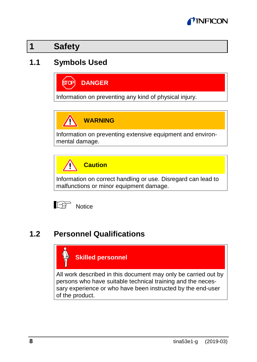

**1 Safety**

## **1.1 Symbols Used**



Information on preventing any kind of physical injury.

**WARNING**

Information on preventing extensive equipment and environmental damage.



Information on correct handling or use. Disregard can lead to malfunctions or minor equipment damage.



## **1.2 Personnel Qualifications**



All work described in this document may only be carried out by persons who have suitable technical training and the necessary experience or who have been instructed by the end-user of the product.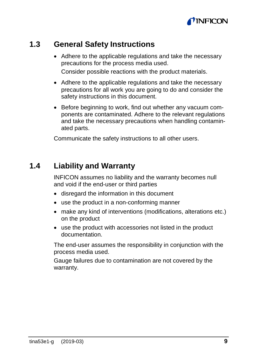

#### **1.3 General Safety Instructions**

- Adhere to the applicable regulations and take the necessary precautions for the process media used. Consider possible reactions with the product materials.
- Adhere to the applicable regulations and take the necessary precautions for all work you are going to do and consider the safety instructions in this document.
- Before beginning to work, find out whether any vacuum components are contaminated. Adhere to the relevant regulations and take the necessary precautions when handling contaminated parts.

Communicate the safety instructions to all other users.

#### **1.4 Liability and Warranty**

INFICON assumes no liability and the warranty becomes null and void if the end-user or third parties

- disregard the information in this document
- use the product in a non-conforming manner
- make any kind of interventions (modifications, alterations etc.) on the product
- use the product with accessories not listed in the product documentation.

The end-user assumes the responsibility in conjunction with the process media used.

Gauge failures due to contamination are not covered by the warranty.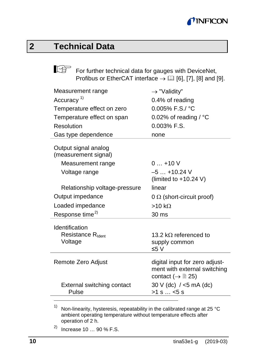## **MINFICON**

# **2 Technical Data**

For further technical data for gauges with DeviceNet, Profibus or EtherCAT interface  $\rightarrow \Box$  [\[6\],](#page-39-0) [\[7\],](#page-39-1) [\[8\]](#page-39-2) an[d \[9\].](#page-40-0)

| Measurement range                            | $\rightarrow$ "Validity"                                                                             |
|----------------------------------------------|------------------------------------------------------------------------------------------------------|
| Accuracy <sup>1)</sup>                       | 0.4% of reading                                                                                      |
| Temperature effect on zero                   | $0.005\%$ F.S./ °C                                                                                   |
| Temperature effect on span                   | 0.02% of reading / $^{\circ}$ C                                                                      |
| Resolution                                   | $0.003%$ F.S.                                                                                        |
| Gas type dependence                          | none                                                                                                 |
| Output signal analog<br>(measurement signal) |                                                                                                      |
| Measurement range                            | $0+10V$                                                                                              |
| Voltage range                                | $-5+10.24$ V<br>(limited to $+10.24$ V)                                                              |
| Relationship voltage-pressure                | linear                                                                                               |
| Output impedance                             | $0 \Omega$ (short-circuit proof)                                                                     |
| Loaded impedance                             | $>10 k\Omega$                                                                                        |
| Response time <sup>2)</sup>                  | 30 ms                                                                                                |
| Identification                               |                                                                                                      |
| Resistance R <sub>Ident</sub>                | 13.2 kO referenced to                                                                                |
| Voltage                                      | supply common                                                                                        |
|                                              | ≤5 V                                                                                                 |
| Remote Zero Adjust                           | digital input for zero adjust-<br>ment with external switching<br>contact ( $\rightarrow \cong 25$ ) |
| External switching contact<br>Pulse          | $30 V$ (dc) / <5 mA (dc)<br>$>1$ s $\dots$ <5 s                                                      |

<span id="page-9-1"></span><sup>1)</sup> Non-linearity, hysteresis, repeatability in the calibrated range at 25 °C ambient operating temperature without temperature effects after operation of 2 h.

<span id="page-9-0"></span> $^{2)}$  Increase 10 ... 90 % F.S.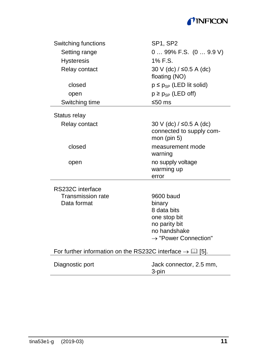#### TINFICON

| Switching functions                                                     | SP1, SP2                                                                                                                |
|-------------------------------------------------------------------------|-------------------------------------------------------------------------------------------------------------------------|
| Setting range                                                           | $099\%$ F.S. $(09.9 V)$                                                                                                 |
| <b>Hysteresis</b>                                                       | 1% F.S.                                                                                                                 |
| Relay contact                                                           | 30 V (dc) / ≤0.5 A (dc)<br>floating (NO)                                                                                |
| closed                                                                  | $p \leq p_{SP}$ (LED lit solid)                                                                                         |
| open                                                                    | $p \geq p_{SP}$ (LED off)                                                                                               |
| Switching time                                                          | ≤50 $ms$                                                                                                                |
| Status relay                                                            |                                                                                                                         |
| Relay contact                                                           | 30 V (dc) $/$ ≤0.5 A (dc)<br>connected to supply com-<br>mon (pin $5$ )                                                 |
| closed                                                                  | measurement mode<br>warning                                                                                             |
| open                                                                    | no supply voltage<br>warming up<br>error                                                                                |
| RS232C interface                                                        |                                                                                                                         |
| Transmission rate<br>Data format                                        | 9600 baud<br>binary<br>8 data bits<br>one stop bit<br>no parity bit<br>no handshake<br>$\rightarrow$ "Power Connection" |
| For further information on the RS232C interface $\rightarrow \Box$ [5]. |                                                                                                                         |
| Diagnostic port                                                         | Jack connector, 2.5 mm,                                                                                                 |

3-pin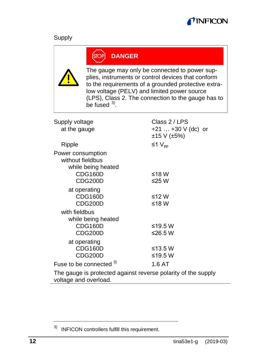

#### Supply

#### **DANGER ÍSTOP**

<span id="page-11-0"></span>The gauge may only be connected to power supplies, instruments or control devices that conform to the requirements of a grounded protective extralow voltage (PELV) and limited power source (LPS), Class 2. The connection to the gauge has to be fused  $3$ .

| Supply voltage                                                                         | Class 2/LPS           |
|----------------------------------------------------------------------------------------|-----------------------|
| at the gauge                                                                           | $+21$ $+30$ V (dc) or |
|                                                                                        | ±15 V (±5%)           |
| Ripple                                                                                 | ≤1 $V_{\text{nn}}$    |
| Power consumption                                                                      |                       |
| without fieldbus                                                                       |                       |
| while being heated                                                                     |                       |
| CDG160D                                                                                | ≤18 W                 |
| CDG200D                                                                                | ≤25 W                 |
| at operating                                                                           |                       |
| CDG160D                                                                                | ≤12 W                 |
| CDG200D                                                                                | ≤18 W                 |
| with fieldbus                                                                          |                       |
| while being heated                                                                     |                       |
| CDG160D                                                                                | ≤19.5 W               |
| CDG200D                                                                                | ≤26.5 W               |
| at operating                                                                           |                       |
| CDG160D                                                                                | $\leq$ 13.5 W         |
| CDG200D                                                                                | ≤19.5 W               |
| Fuse to be connected 3)                                                                | 1.6 AT                |
| The gauge is protected against reverse polarity of the supply<br>voltage and overload. |                       |

<span id="page-11-1"></span> <sup>3)</sup> INFICON controllers fulfill this requirement.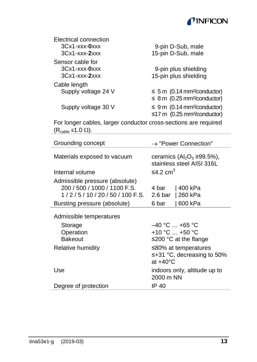

<span id="page-12-0"></span>

| Electrical connection                          |                                                                                               |
|------------------------------------------------|-----------------------------------------------------------------------------------------------|
| $3Cx1-xxxx-0xxx$                               | 9-pin D-Sub, male                                                                             |
| $3Cx1$ -xxx- $2xxx$                            | 15-pin D-Sub, male                                                                            |
| Sensor cable for<br>$3Cx1$ - $xxx$ - $0$ $xxx$ | 9-pin plus shielding                                                                          |
| $3Cx1$ - $xxx$ - $2xxx$                        | 15-pin plus shielding                                                                         |
| Cable length                                   |                                                                                               |
| Supply voltage 24 V                            | $\leq$ 5 m (0.14 mm <sup>2</sup> /conductor)<br>$\leq$ 8 m (0.25 mm <sup>2</sup> /conductor)  |
| Supply voltage 30 V                            | $\leq 9$ m (0.14 mm <sup>2</sup> /conductor)<br>$\leq$ 17 m (0.25 mm <sup>2</sup> /conductor) |
|                                                |                                                                                               |

For longer cables, larger conductor cross-sections are required  $(R_{\text{cable}} \leq 1.0 \Omega)$ .

| Grounding concept                                                                           | $\rightarrow$ "Power Connection"                                                                                                        |
|---------------------------------------------------------------------------------------------|-----------------------------------------------------------------------------------------------------------------------------------------|
| Materials exposed to vacuum                                                                 | ceramics $(AI_2O_3 \ge 99.5\%)$ ,<br>stainless steel AISI 316L                                                                          |
| Internal volume                                                                             | ≤4.2 cm <sup>3</sup>                                                                                                                    |
| Admissible pressure (absolute)<br>200 / 500 / 1000 / 1100 F.S.<br>$1/2/5/10/20/50/100$ F.S. | 4 bar<br>l 400 kPa<br>2.6 <sub>bar</sub><br>  260 kPa                                                                                   |
| Bursting pressure (absolute)                                                                | l 600 kPa<br>6 bar                                                                                                                      |
| Admissible temperatures<br>Storage<br>Operation<br><b>Bakeout</b><br>Relative humidity      | $-40 °C  +65 °C$<br>+10 °C $$ +50 °C<br>≤200 °C at the flange<br>≤80% at temperatures<br>$\leq +31$ °C, decreasing to 50%<br>$at +40°C$ |
| Use                                                                                         | indoors only, altitude up to<br>2000 m NN                                                                                               |
| Degree of protection                                                                        | IP 40                                                                                                                                   |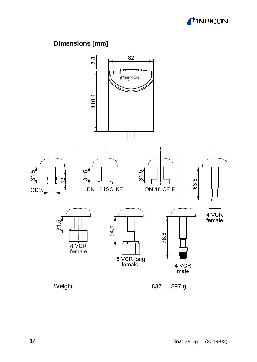

#### **Dimensions [mm]**

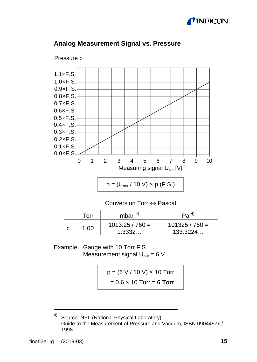



#### <span id="page-14-2"></span>**Analog Measurement Signal vs. Pressure**

<span id="page-14-0"></span>

|   | Torr | mbar $4$                    | Pa <sup>4</sup>              |
|---|------|-----------------------------|------------------------------|
| C | 1.00 | $1013.25 / 760 =$<br>1.3332 | $101325 / 760 =$<br>133.3224 |

Example: Gauge with 10 Torr F.S. Measurement signal  $U_{\text{out}} = 6$  V

$$
p = (6 V / 10 V) \times 10
$$
 Torr  
= 0.6 x 10 Torr = **6 Torr**

<span id="page-14-1"></span> <sup>4)</sup> Source: NPL (National Physical Laboratory) Guide to the Measurement of Pressure and Vacuum, ISBN 0904457x / 1998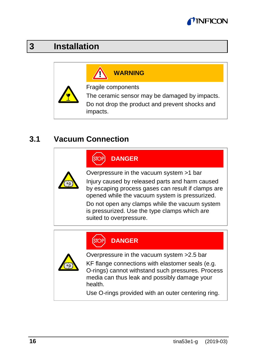## *INFICO*

# <span id="page-15-0"></span>**3 Installation**

# **WARNING**

Fragile components

The ceramic sensor may be damaged by impacts. Do not drop the product and prevent shocks and impacts.

#### **3.1 Vacuum Connection**

**DANGER**

Overpressure in the vacuum system >1 bar

Injury caused by released parts and harm caused by escaping process gases can result if clamps are opened while the vacuum system is pressurized.

Do not open any clamps while the vacuum system is pressurized. Use the type clamps which are suited to overpressure.

#### **DANGER** ÍSTO

Overpressure in the vacuum system >2.5 bar

KF flange connections with elastomer seals (e.g. O-rings) cannot withstand such pressures. Process media can thus leak and possibly damage your health.

Use O-rings provided with an outer centering ring.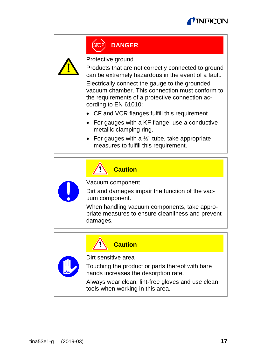



#### **DANGER**

Protective ground

Products that are not correctly connected to ground can be extremely hazardous in the event of a fault.

Electrically connect the gauge to the grounded vacuum chamber. This connection must conform to the requirements of a protective connection according to EN 61010:

- CF and VCR flanges fulfill this requirement.
- For gauges with a KF flange, use a conductive metallic clamping ring.
- For gauges with a  $1/2$ " tube, take appropriate measures to fulfill this requirement.



#### **Caution**

Vacuum component

Dirt and damages impair the function of the vacuum component.

When handling vacuum components, take appropriate measures to ensure cleanliness and prevent damages.

**Caution**

Dirt sensitive area

Touching the product or parts thereof with bare hands increases the desorption rate.

Always wear clean, lint-free gloves and use clean tools when working in this area.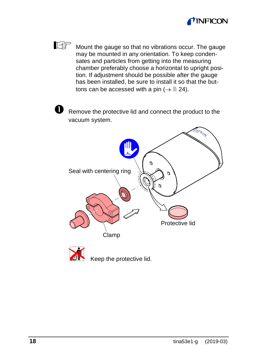

 $\mathbb{F}$ Mount the gauge so that no vibrations occur. The gauge may be mounted in any orientation. To keep condensates and particles from getting into the measuring chamber preferably choose a horizontal to upright position. If adjustment should be possible after the gauge has been installed, be sure to install it so that the buttons can be accessed with a pin ( $\rightarrow \mathbb{B}$  [24\)](#page-23-0).

 $\bullet$  Remove the protective lid and connect the product to the vacuum system.



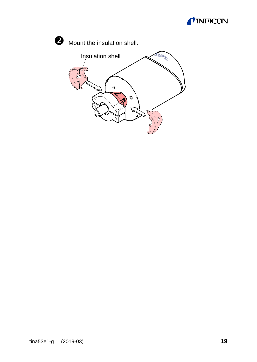



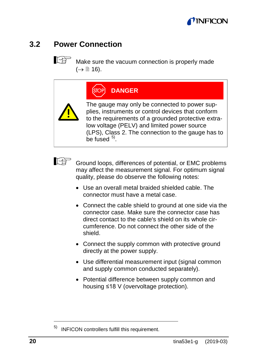### **INFICO**

## **3.2 Power Connection**

<span id="page-19-0"></span>**R** Make sure the vacuum connection is properly made  $(\rightarrow \Box$  [16\)](#page-15-0).

|  | OP) DANGER |  |  |
|--|------------|--|--|
|  |            |  |  |
|  |            |  |  |

The gauge may only be connected to power supplies, instruments or control devices that conform to the requirements of a grounded protective extralow voltage (PELV) and limited power source (LPS), Class 2. The connection to the gauge has to be fused  $5$ .



Ground loops, differences of potential, or EMC problems may affect the measurement signal. For optimum signal quality, please do observe the following notes:

- Use an overall metal braided shielded cable. The connector must have a metal case.
- Connect the cable shield to ground at one side via the connector case. Make sure the connector case has direct contact to the cable's shield on its whole circumference. Do not connect the other side of the shield.
- Connect the supply common with protective ground directly at the power supply.
- Use differential measurement input (signal common and supply common conducted separately).
- Potential difference between supply common and housing ≤18 V (overvoltage protection).

<span id="page-19-1"></span> <sup>5)</sup> INFICON controllers fulfill this requirement.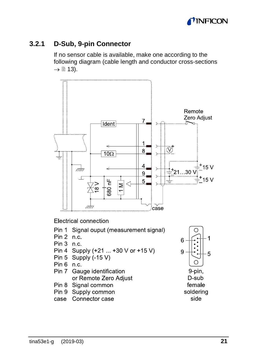

#### **3.2.1 D-Sub, 9-pin Connector**

If no sensor cable is available, make one according to the following diagram (cable length and conductor cross-sections  $\rightarrow \Box$  [13\)](#page-12-0).



**Electrical connection** 

- Pin 1 Signal ouput (measurement signal)
- $Pin 2 n c$
- $Pin 3 n.c.$
- Pin 4 Supply (+21 ... +30 V or +15 V)
- Pin 5 Supply  $(-15 V)$
- $Pin 6 n.c.$
- Pin 7 Gauge identification or Remote Zero Adjust
- Pin 8 Signal common
- Pin 9 Supply common
- case Connector case



D-sub female soldering side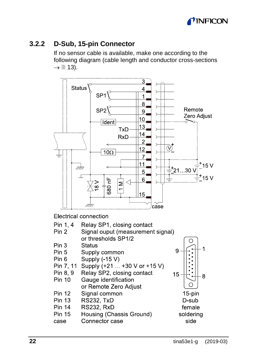<span id="page-21-0"></span>

#### **3.2.2 D-Sub, 15-pin Connector**

If no sensor cable is available, make one according to the following diagram (cable length and conductor cross-sections  $\rightarrow \Box$  [13\)](#page-12-0).



Electrical connection

| Pin 1, 4<br>Pin 2 | Relay SP1, closing contact<br>Signal ouput (measurement signal) |           |
|-------------------|-----------------------------------------------------------------|-----------|
|                   | or thresholds SP1/2                                             |           |
| Pin 3             | Status                                                          |           |
| Pin 5             | Supply common                                                   |           |
| Pin 6             | Supply (-15 V)                                                  |           |
| Pin 7.11          | Supply (+21  +30 V or +15 V)                                    |           |
| Pin 8.9           | Relay SP2, closing contact                                      | 15        |
| Pin 10            | Gauge identification                                            |           |
|                   | or Remote Zero Adjust                                           |           |
| <b>Pin 12</b>     | Signal common                                                   | 15-pin    |
| Pin 13            | <b>RS232. TxD</b>                                               | D-sub     |
| Pin 14            | <b>RS232. RxD</b>                                               | female    |
| <b>Pin 15</b>     | Housing (Chassis Ground)                                        | soldering |
| case              | Connector case                                                  | side      |
|                   |                                                                 |           |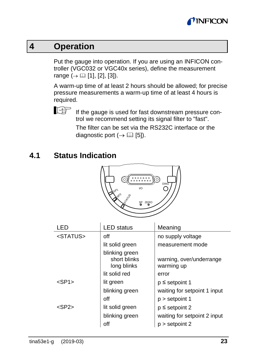

## **4 Operation**

Put the gauge into operation. If you are using an INFICON controller (VGC032 or VGC40x series), define the measurement range  $( \rightarrow \Box$  [\[1\],](#page-39-4) [\[2\],](#page-39-5) [\[3\]\)](#page-39-6).

A warm-up time of at least 2 hours should be allowed; for precise pressure measurements a warm-up time of at least 4 hours is required.



If the gauge is used for fast downstream pressure control we recommend setting its signal filter to "fast".

The filter can be set via the RS232C interface or the diagnostic port  $(\rightarrow \Box$  [\[5\]\)](#page-39-3).

#### **4.1 Status Indication**



| LED                     | <b>LED</b> status                             | Meaning                                |
|-------------------------|-----------------------------------------------|----------------------------------------|
| $<$ STATUS $>$          | off                                           | no supply voltage                      |
|                         | lit solid green                               | measurement mode                       |
|                         | blinking green<br>short blinks<br>long blinks | warning, over/underrange<br>warming up |
|                         | lit solid red                                 | error                                  |
| $<$ SP <sub>1</sub> $>$ | lit green                                     | $p \le$ setpoint 1                     |
|                         | blinking green                                | waiting for setpoint 1 input           |
|                         | off                                           | $p >$ setpoint 1                       |
| $<$ SP2 $>$             | lit solid green                               | $p \le$ setpoint 2                     |
|                         | blinking green                                | waiting for setpoint 2 input           |
|                         | off                                           | $p >$ setpoint 2                       |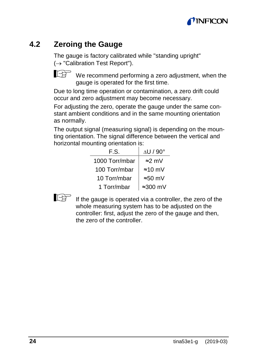## *INFICO*

## <span id="page-23-0"></span>**4.2 Zeroing the Gauge**

The gauge is factory calibrated while "standing upright" (→ "Calibration Test Report").



We recommend performing a zero adjustment, when the gauge is operated for the first time.

Due to long time operation or contamination, a zero drift could occur and zero adjustment may become necessary.

For adjusting the zero, operate the gauge under the same constant ambient conditions and in the same mounting orientation as normally.

The output signal (measuring signal) is depending on the mounting orientation. The signal difference between the vertical and horizontal mounting orientation is:

| F.S.           | $\triangle$ U / 90 $^{\circ}$ |
|----------------|-------------------------------|
| 1000 Torr/mbar | ≈2 mV                         |
| 100 Torr/mbar  | $\approx 10$ mV               |
| 10 Torr/mbar   | $\approx 50$ mV               |
| 1 Torr/mbar    | $\approx 300$ mV              |



<span id="page-23-1"></span>If the gauge is operated via a controller, the zero of the whole measuring system has to be adjusted on the controller: first, adjust the zero of the gauge and then, the zero of the controller.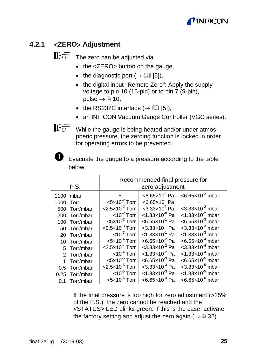## *INFICOI*

#### **4.2.1** <**ZERO**> **Adjustment**

The zero can be adjusted via

- <span id="page-24-0"></span>• the <ZERO> button on the gauge.
- the diagnostic port  $(\rightarrow \Box$  [\[5\]\)](#page-39-3),
- the digital input "Remote Zero": Apply the supply voltage to pin 10 (15-pin) or to pin 7 (9-pin), pulse  $\rightarrow \mathbb{B}$  10.
- the RS232C interface  $(\rightarrow \Box$  [5]).
- an INFICON Vacuum Gauge Controller (VGC series).

While the gauge is being heated and/or under atmospheric pressure, the zeroing function is locked in order for operating errors to be prevented.

Evacuate the gauge to a pressure according to the table below:

|           |                |                                        | Recommended final pressure for        |                                         |
|-----------|----------------|----------------------------------------|---------------------------------------|-----------------------------------------|
|           | F.S.           |                                        | zero adjustment                       |                                         |
|           | $1100$ mbar    |                                        | $<$ 6.65×10 $^{\circ}$ Pa             | $< 6.65 \times 10^{-2}$ mbar            |
| 1000 Torr |                | $<$ 5 $\times$ 10 <sup>-2</sup> Torr   | $<$ 6.65×10 $^{\circ}$ Pa             |                                         |
|           | 500 Torr/mbar  | $<$ 2.5 $\times$ 10 <sup>-2</sup> Torr | $< 3.33 \times 10^{0}$ Pa             | $<$ 3.33 $\times$ 10 <sup>-2</sup> mbar |
|           | 200 Torr/mbar  | $<$ 10 <sup>-2</sup> Torr              | $<$ 1.33×10 <sup>-0</sup> Pa          | $<$ 1.33 $\times$ 10 <sup>-2</sup> mbar |
|           | 100 Torr/mbar  | $< 5 \times 10^{-3}$ Torr              | $<6.65\times10^{-1}$ Pa               | $<6.55\times10^{-3}$ mbar               |
|           | 50 Torr/mbar   | $<$ 2.5 $\times$ 10 <sup>-3</sup> Torr | $<$ 3.33 $\times$ 10 <sup>-1</sup> Pa | $<$ 3.33 $\times$ 10 <sup>-3</sup> mbar |
|           | 20 Torr/mbar   | $<$ 10 <sup>-3</sup> Torr              | $<$ 1.33x10 <sup>-1</sup> Pa          | $<$ 1.33 $\times$ 10 <sup>-3</sup> mbar |
|           | 10 Torr/mbar   | $< 5 \times 10^{-4}$ Torr              | $< 6.65 \times 10^{-2}$ Pa            | $< 6.55 \times 10^{-4}$ mbar            |
|           | 5 Torr/mbar    | $<$ 2.5 $\times$ 10 <sup>-4</sup> Torr | $<$ 3.33 $\times$ 10 <sup>-2</sup> Pa | $<$ 3.33 $\times$ 10 <sup>-4</sup> mbar |
|           | 2 Torr/mbar    | $<$ 10 <sup>-4</sup> Torr              | $<$ 1.33x10 <sup>-2</sup> Pa          | $<$ 1.33 $\times$ 10 <sup>-4</sup> mbar |
|           | Torr/mbar      | $<$ 5 $\times$ 10 <sup>-5</sup> Torr   | $<$ 6.65 $\times$ 10 <sup>-3</sup> Pa | $<$ 6.65 $\times$ 10 <sup>-5</sup> mbar |
|           | 0.5 Torr/mbar  | $<$ 2.5 $\times$ 10 <sup>-5</sup> Torr | $<$ 3.33 $\times$ 10 <sup>-3</sup> Pa | $<$ 3.33 $\times$ 10 <sup>-5</sup> mbar |
|           | 0.25 Torr/mbar | $<$ 10 <sup>-5</sup> Torr              | $<$ 1.33x10 <sup>-3</sup> Pa          | $<$ 1.33 $\times$ 10 <sup>-5</sup> mbar |
| 0.1       | Torr/mbar      | $<$ 5 $\times$ 10 <sup>-6</sup> Torr   | $<$ 6.65 $\times$ 10 <sup>-4</sup> Pa | $<$ 6.65 $\times$ 10 <sup>-6</sup> mbar |

If the final pressure is too high for zero adjustment (>25% of the F.S.), the zero cannot be reached and the <STATUS> LED blinks green. If this is the case, activate the factory setting and adjust the zero again ( $\rightarrow \mathbb{B}$  [32\).](#page-31-0)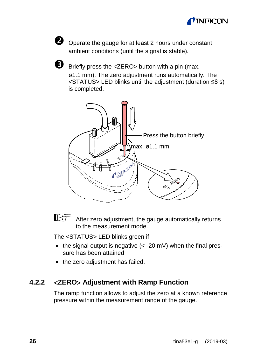



O Operate the gauge for at least 2 hours under constant ambient conditions (until the signal is stable).



 $\bullet$  Briefly press the <ZERO> button with a pin (max. ø1.1 mm). The zero adjustment runs automatically. The <STATUS> LED blinks until the adjustment (duration ≤8 s) is completed.





After zero adjustment, the gauge automatically returns to the measurement mode.

The <STATUS> LED blinks green if

- $\bullet$  the signal output is negative  $\left( < -20 \text{ mV} \right)$  when the final pressure has been attained
- the zero adiustment has failed.

#### **4.2.2** <**ZERO**> **Adjustment with Ramp Function**

The ramp function allows to adjust the zero at a known reference pressure within the measurement range of the gauge.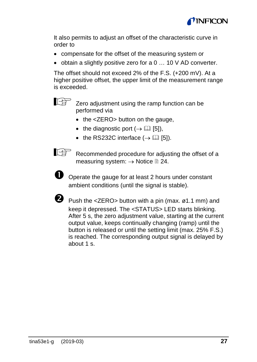

It also permits to adjust an offset of the characteristic curve in order to

- compensate for the offset of the measuring system or
- obtain a slightly positive zero for a 0 … 10 V AD converter.

The offset should not exceed 2% of the F.S. (+200 mV). At a higher positive offset, the upper limit of the measurement range is exceeded.



**Zero adjustment using the ramp function can be** performed via

- the <ZERO> button on the gauge,
- the diagnostic port  $(\rightarrow \Box$  [\[5\]\)](#page-39-3),
- the RS232C interface  $(\rightarrow \Box$  [\[5\]\).](#page-39-3)



Recommended procedure for adjusting the offset of a measuring system: → Notice <sup>1</sup> [24.](#page-23-1)



O Operate the gauge for at least 2 hours under constant ambient conditions (until the signal is stable).

![](_page_26_Picture_14.jpeg)

Push the <ZERO> button with a pin (max. ø1.1 mm) and keep it depressed. The <STATUS> LED starts blinking. After 5 s, the zero adjustment value, starting at the current output value, keeps continually changing (ramp) until the button is released or until the setting limit (max. 25% F.S.) is reached. The corresponding output signal is delayed by about 1 s.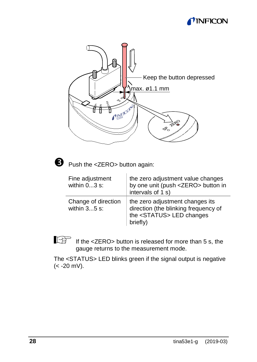## *I* INFICON

![](_page_27_Figure_1.jpeg)

![](_page_27_Picture_2.jpeg)

Push the <ZERO> button again:

| Fine adjustment<br>within $03$ s:     | the zero adjustment value changes<br>by one unit (push <zero> button in<br/>intervals of 1 s)</zero>                      |  |
|---------------------------------------|---------------------------------------------------------------------------------------------------------------------------|--|
| Change of direction<br>within $35$ s: | the zero adjustment changes its<br>direction (the blinking frequency of<br>the <status> LED changes<br/>briefly)</status> |  |

If the <ZERO> button is released for more than 5 s, the gauge returns to the measurement mode.

The <STATUS> LED blinks green if the signal output is negative (< -20 mV).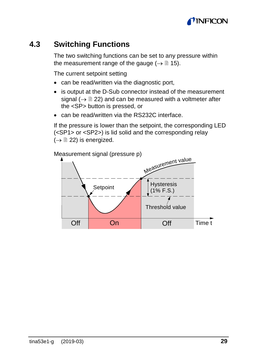![](_page_28_Picture_0.jpeg)

#### **4.3 Switching Functions**

The two switching functions can be set to any pressure within the measurement range of the gauge ( $\rightarrow \mathbb{R}$  [15\).](#page-14-2)

The current setpoint setting

- can be read/written via the diagnostic port,
- is output at the D-Sub connector instead of the measurement signal ( $\rightarrow \mathbb{B}$  [22\)](#page-21-0) and can be measured with a voltmeter after the <SP> button is pressed, or
- can be read/written via the RS232C interface.

If the pressure is lower than the setpoint, the corresponding LED (<SP1> or <SP2>) is lid solid and the corresponding relay  $(\rightarrow \Box$  [22\)](#page-21-0) is energized.

![](_page_28_Figure_8.jpeg)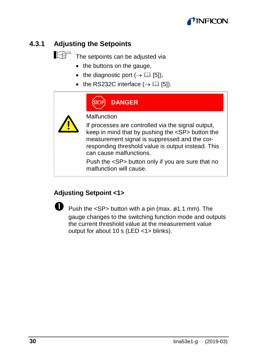![](_page_29_Picture_0.jpeg)

#### **4.3.1 Adjusting the Setpoints**

![](_page_29_Picture_2.jpeg)

# $\mathbb{R}^{\mathbb{R}}$  The setpoints can be adjusted via

- the buttons on the gauge,
- the diagnostic port  $(\rightarrow \Box$  [\[5\]\)](#page-39-3),
- the RS232C interface  $(\rightarrow \Box$  [\[5\]\).](#page-39-3)

| <b>DANGER</b>                                                                                                                                                                                                                                    |
|--------------------------------------------------------------------------------------------------------------------------------------------------------------------------------------------------------------------------------------------------|
| Malfunction                                                                                                                                                                                                                                      |
| If processes are controlled via the signal output,<br>keep in mind that by pushing the <sp> button the<br/>measurement signal is suppressed and the cor-<br/>responding threshold value is output instead. This<br/>can cause malfunctions.</sp> |
| Push the <sp> button only if you are sure that no<br/>malfunction will cause.</sp>                                                                                                                                                               |

#### **Adjusting Setpoint <1>**

![](_page_29_Picture_9.jpeg)

 Push the <SP> button with a pin (max. ø1.1 mm). The gauge changes to the switching function mode and outputs the current threshold value at the measurement value output for about 10 s (LED <1> blinks).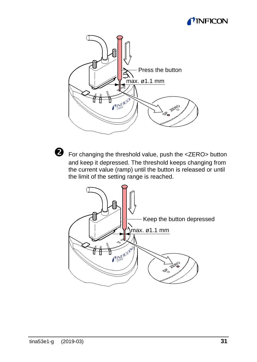## **MINFICON**

![](_page_30_Figure_1.jpeg)

![](_page_30_Picture_2.jpeg)

 For changing the threshold value, push the <ZERO> button and keep it depressed. The threshold keeps changing from the current value (ramp) until the button is released or until the limit of the setting range is reached.

![](_page_30_Picture_4.jpeg)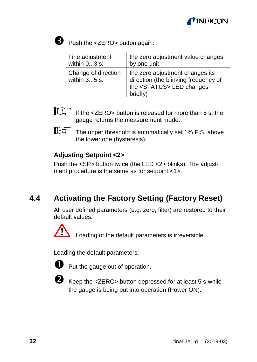![](_page_31_Picture_0.jpeg)

![](_page_31_Picture_1.jpeg)

Push the <ZERO> button again:

| Fine adjustment                       | the zero adjustment value changes                                                                                         |
|---------------------------------------|---------------------------------------------------------------------------------------------------------------------------|
| within $03$ s:                        | by one unit                                                                                                               |
| Change of direction<br>within $35$ s: | the zero adjustment changes its<br>direction (the blinking frequency of<br>the <status> LED changes<br/>briefly)</status> |

![](_page_31_Picture_4.jpeg)

If the <ZERO> button is released for more than 5 s, the gauge returns the measurement mode.

Ita

The upper threshold is automatically set 1% F.S. above the lower one (hysteresis).

#### **Adjusting Setpoint <2>**

Push the <SP> button twice (the LED <2> blinks). The adjustment procedure is the same as for setpoint <1>.

### <span id="page-31-0"></span>**4.4 Activating the Factory Setting (Factory Reset)**

All user defined parameters (e.g. zero, filter) are restored to their default values.

![](_page_31_Picture_12.jpeg)

Loading of the default parameters is irreversible.

Loading the default parameters:

![](_page_31_Picture_15.jpeg)

**P** Put the gauge out of operation.

![](_page_31_Picture_17.jpeg)

 Keep the <ZERO> button depressed for at least 5 s while the gauge is being put into operation (Power ON).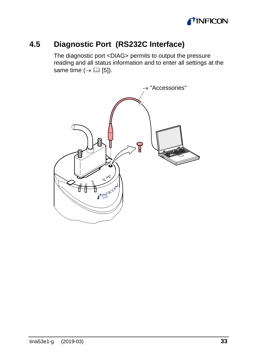![](_page_32_Picture_0.jpeg)

## **4.5 Diagnostic Port (RS232C Interface)**

The diagnostic port <DIAG> permits to output the pressure reading and all status information and to enter all settings at the same time  $(\rightarrow \Box$  [\[5\]\)](#page-39-3).

![](_page_32_Figure_3.jpeg)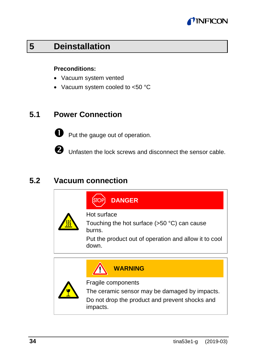![](_page_33_Picture_0.jpeg)

# **5 Deinstallation**

#### **Preconditions:**

- Vacuum system vented
- Vacuum system cooled to <50 °C

#### **5.1 Power Connection**

![](_page_33_Picture_6.jpeg)

**O** Put the gauge out of operation.

Unfasten the lock screws and disconnect the sensor cable.

#### **5.2 Vacuum connection**

| <b>DANGER</b>                                                                                                                     |
|-----------------------------------------------------------------------------------------------------------------------------------|
| Hot surface<br>Touching the hot surface (>50 °C) can cause<br>burns.                                                              |
| Put the product out of operation and allow it to cool<br>down.                                                                    |
| <b>WARNING</b>                                                                                                                    |
| Fragile components<br>The ceramic sensor may be damaged by impacts.<br>Do not drop the product and prevent shocks and<br>impacts. |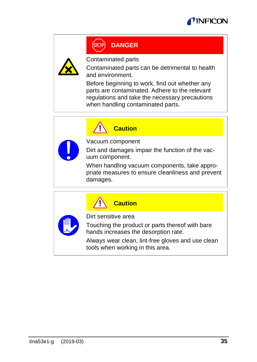![](_page_34_Picture_0.jpeg)

# **DANGER**

![](_page_34_Picture_2.jpeg)

Contaminated parts

Contaminated parts can be detrimental to health and environment.

Before beginning to work, find out whether any parts are contaminated. Adhere to the relevant regulations and take the necessary precautions when handling contaminated parts.

![](_page_34_Picture_6.jpeg)

**Caution**

Vacuum component

Dirt and damages impair the function of the vacuum component.

When handling vacuum components, take appropriate measures to ensure cleanliness and prevent damages.

![](_page_34_Picture_11.jpeg)

Dirt sensitive area

**Caution**

Touching the product or parts thereof with bare hands increases the desorption rate.

Always wear clean, lint-free gloves and use clean tools when working in this area.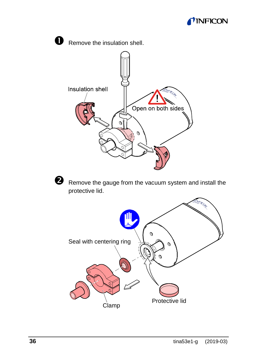![](_page_35_Picture_0.jpeg)

![](_page_35_Picture_1.jpeg)

Clamp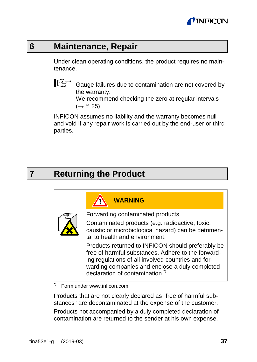![](_page_36_Picture_0.jpeg)

## **6 Maintenance, Repair**

Under clean operating conditions, the product requires no maintenance.

![](_page_36_Picture_3.jpeg)

Gauge failures due to contamination are not covered by the warranty.

We recommend checking the zero at regular intervals  $(\rightarrow \cong 25)$  $(\rightarrow \cong 25)$ .

INFICON assumes no liability and the warranty becomes null and void if any repair work is carried out by the end-user or third parties.

# **7 Returning the Product**

| <b>WARNING</b>                                                                                                                                                                                                                                               |
|--------------------------------------------------------------------------------------------------------------------------------------------------------------------------------------------------------------------------------------------------------------|
| Forwarding contaminated products                                                                                                                                                                                                                             |
| Contaminated products (e.g. radioactive, toxic,<br>caustic or microbiological hazard) can be detrimen-<br>tal to health and environment.                                                                                                                     |
| Products returned to INFICON should preferably be<br>free of harmful substances. Adhere to the forward-<br>ing regulations of all involved countries and for-<br>warding companies and enclose a duly completed<br>declaration of contamination <sup>"</sup> |
| Form under www.inficon.com                                                                                                                                                                                                                                   |

Products that are not clearly declared as "free of harmful substances" are decontaminated at the expense of the customer. Products not accompanied by a duly completed declaration of contamination are returned to the sender at his own expense.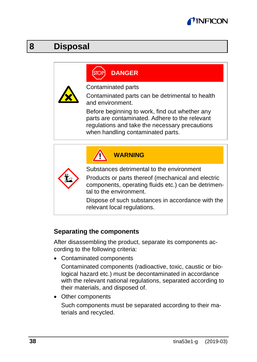![](_page_37_Picture_0.jpeg)

## **8 Disposal**

# **DANGER**

![](_page_37_Picture_3.jpeg)

Contaminated parts

Contaminated parts can be detrimental to health and environment.

Before beginning to work, find out whether any parts are contaminated. Adhere to the relevant regulations and take the necessary precautions when handling contaminated parts.

![](_page_37_Picture_7.jpeg)

#### **Separating the components**

After disassembling the product, separate its components according to the following criteria:

• Contaminated components

Contaminated components (radioactive, toxic, caustic or biological hazard etc.) must be decontaminated in accordance with the relevant national regulations, separated according to their materials, and disposed of.

• Other components

Such components must be separated according to their materials and recycled.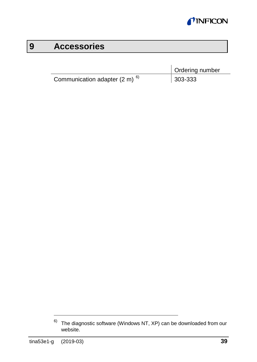![](_page_38_Picture_0.jpeg)

# **9 Accessories**

|                                                     | Ordering number |
|-----------------------------------------------------|-----------------|
| Communication adapter $(2 \text{ m})$ <sup>6)</sup> | $ 303 - 333$    |

 $6)$  The diagnostic software (Windows NT, XP) can be downloaded from our website.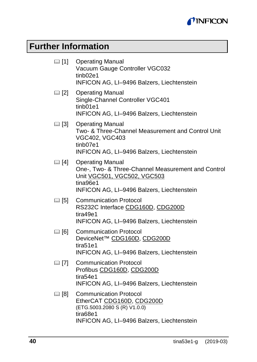![](_page_39_Picture_0.jpeg)

# **Further Information**

<span id="page-39-6"></span><span id="page-39-5"></span><span id="page-39-4"></span><span id="page-39-3"></span><span id="page-39-2"></span><span id="page-39-1"></span><span id="page-39-0"></span>

|                | 11 Operating Manual<br>Vacuum Gauge Controller VGC032<br>tinb <sub>02e1</sub><br>INFICON AG, LI-9496 Balzers, Liechtenstein                                            |
|----------------|------------------------------------------------------------------------------------------------------------------------------------------------------------------------|
|                | [2] Operating Manual<br>Single-Channel Controller VGC401<br>tinb01e1<br>INFICON AG, LI-9496 Balzers, Liechtenstein                                                     |
| 13   31        | <b>Operating Manual</b><br>Two- & Three-Channel Measurement and Control Unit<br>VGC402, VGC403<br>tinb07e1<br>INFICON AG, LI-9496 Balzers, Liechtenstein               |
| □ [4]          | <b>Operating Manual</b><br>One-, Two- & Three-Channel Measurement and Control<br>Unit VGC501, VGC502, VGC503<br>tina96e1<br>INFICON AG, LI-9496 Balzers, Liechtenstein |
| 15]            | <b>Communication Protocol</b><br>RS232C Interface CDG160D, CDG200D<br>tira49e1<br>INFICON AG, LI-9496 Balzers, Liechtenstein                                           |
| $\boxplus$ [6] | Communication Protocol<br>DeviceNet™ CDG160D, CDG200D<br>tira51e1<br>INFICON AG, LI-9496 Balzers, Liechtenstein                                                        |
| (二) [7]        | Communication Protocol<br>Profibus CDG160D, CDG200D<br>tira54e1<br>INFICON AG, LI-9496 Balzers, Liechtenstein                                                          |
| $\boxplus$ [8] | <b>Communication Protocol</b><br>EtherCAT CDG160D, CDG200D<br>(ETG.5003.2080 S (R) V1.0.0)<br>tira68e1<br>INFICON AG, LI-9496 Balzers, Liechtenstein                   |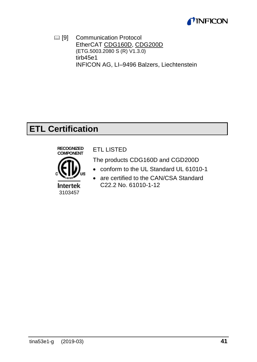![](_page_40_Picture_0.jpeg)

<span id="page-40-0"></span>[9] Communication Protocol EtherCA[T CDG160D,](https://products.inficon.com/en-us/nav-products/product/detail/cdg160d/) [CDG200D](https://products.inficon.com/en-us/nav-products/product/detail/cdg200d/) (ETG.5003.2080 S (R) V1.3.0) tirb45e1 INFICON AG, LI–9496 Balzers, Liechtenstein

# **ETL Certification**

![](_page_40_Picture_3.jpeg)

#### ETL LISTED

The products CDG160D and CGD200D

- conform to the UL Standard UL 61010-1
- are certified to the CAN/CSA Standard C22.2 No. 61010-1-12

3103457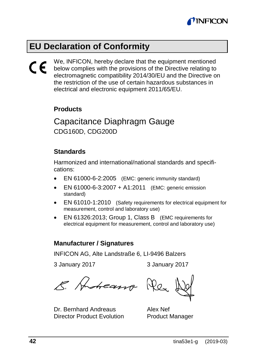![](_page_41_Picture_0.jpeg)

# <span id="page-41-0"></span>**EU Declaration of Conformity**

# $C\epsilon$

We, INFICON, hereby declare that the equipment mentioned below complies with the provisions of the Directive relating to electromagnetic compatibility 2014/30/EU and the Directive on the restriction of the use of certain hazardous substances in electrical and electronic equipment 2011/65/EU.

#### **Products**

Capacitance Diaphragm Gauge CDG160D, CDG200D

#### **Standards**

Harmonized and international/national standards and specifications:

- EN 61000-6-2:2005 (EMC: generic immunity standard)
- EN 61000-6-3:2007 + A1:2011 (EMC: generic emission standard)
- EN 61010-1:2010 (Safety requirements for electrical equipment for measurement, control and laboratory use)
- EN 61326:2013; Group 1, Class B (EMC requirements for electrical equipment for measurement, control and laboratory use)

#### **Manufacturer / Signatures**

INFICON AG, Alte Landstraße 6, LI-9496 Balzers

3 January 2017 3 January 2017

E. Anteasso Res

Dr. Bernhard Andreaus Director Product Evolution

Alex Nef Product Manager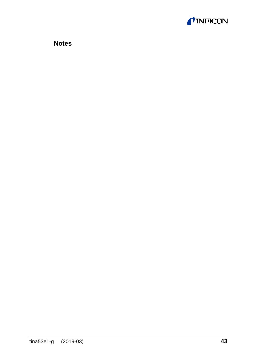![](_page_42_Picture_0.jpeg)

**Notes**